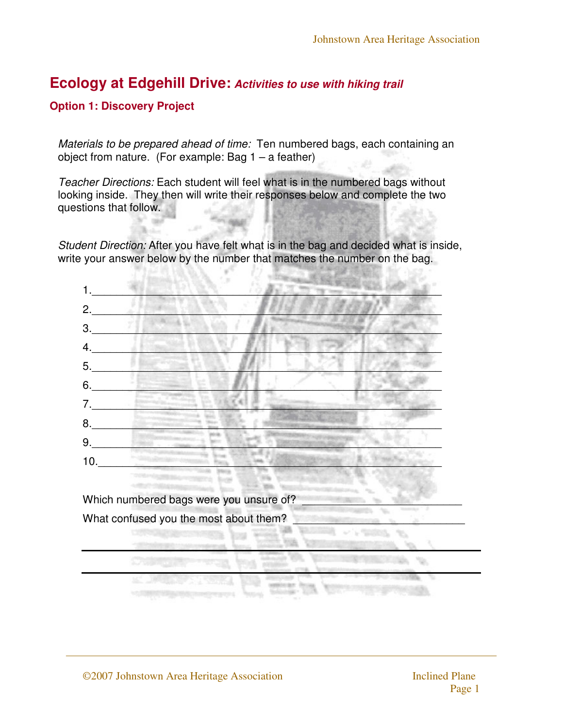### **Option 1: Discovery Project**

Materials to be prepared ahead of time: Ten numbered bags, each containing an object from nature. (For example: Bag  $1 - a$  feather)

Teacher Directions: Each student will feel what is in the numbered bags without looking inside. They then will write their responses below and complete the two questions that follow.

Student Direction: After you have felt what is in the bag and decided what is inside, write your answer below by the number that matches the number on the bag.

1.\_\_\_\_\_\_\_\_\_\_\_\_\_\_\_\_\_\_\_\_\_\_\_\_\_\_\_\_\_\_\_\_\_\_\_\_\_\_\_\_\_\_\_\_\_\_\_\_\_\_\_\_\_\_\_\_\_  $2.$  $3.$  $4.$ 5.\_\_\_\_\_\_\_\_\_\_\_\_\_\_\_\_\_\_\_\_\_\_\_\_\_\_\_\_\_\_\_\_\_\_\_\_\_\_\_\_\_\_\_\_\_\_\_\_\_\_\_\_\_\_\_\_\_  $6.$ 7.\_\_\_\_\_\_\_\_\_\_\_\_\_\_\_\_\_\_\_\_\_\_\_\_\_\_\_\_\_\_\_\_\_\_\_\_\_\_\_\_\_\_\_\_\_\_\_\_\_\_\_\_\_\_\_\_\_  $8.$   $\Box$ 9.\_\_\_\_\_\_\_\_\_\_\_\_\_\_\_\_\_\_\_\_\_\_\_\_\_\_\_\_\_\_\_\_\_\_\_\_\_\_\_\_\_\_\_\_\_\_\_\_\_\_\_\_\_\_\_\_\_  $10.$ Which numbered bags were you unsure of? What confused you the most about them?

N.

You.

525.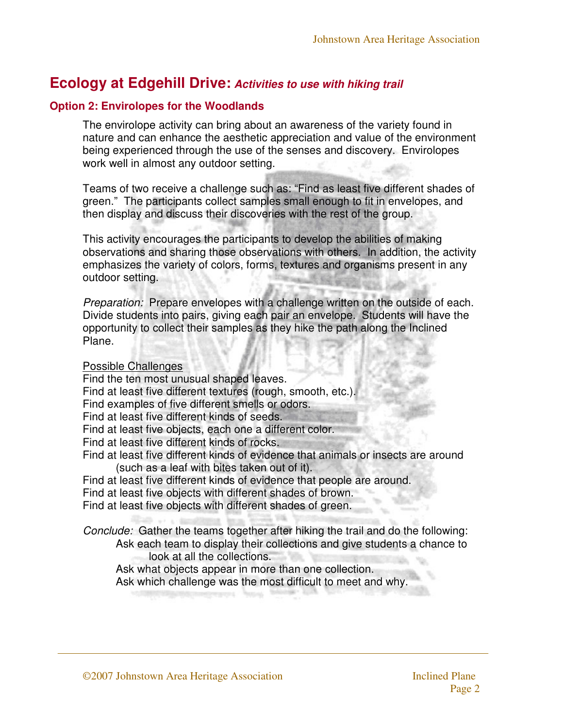### **Option 2: Envirolopes for the Woodlands**

The envirolope activity can bring about an awareness of the variety found in nature and can enhance the aesthetic appreciation and value of the environment being experienced through the use of the senses and discovery. Envirolopes work well in almost any outdoor setting.

Teams of two receive a challenge such as: "Find as least five different shades of green." The participants collect samples small enough to fit in envelopes, and then display and discuss their discoveries with the rest of the group.

This activity encourages the participants to develop the abilities of making observations and sharing those observations with others. In addition, the activity emphasizes the variety of colors, forms, textures and organisms present in any outdoor setting.

Preparation: Prepare envelopes with a challenge written on the outside of each. Divide students into pairs, giving each pair an envelope. Students will have the opportunity to collect their samples as they hike the path along the Inclined Plane.

#### Possible Challenges

Find the ten most unusual shaped leaves. Find at least five different textures (rough, smooth, etc.). Find examples of five different smells or odors. Find at least five different kinds of seeds. Find at least five objects, each one a different color. Find at least five different kinds of rocks. Find at least five different kinds of evidence that animals or insects are around (such as a leaf with bites taken out of it). Find at least five different kinds of evidence that people are around. Find at least five objects with different shades of brown. Find at least five objects with different shades of green.

Conclude: Gather the teams together after hiking the trail and do the following: Ask each team to display their collections and give students a chance to look at all the collections.

Ask what objects appear in more than one collection.

Ask which challenge was the most difficult to meet and why.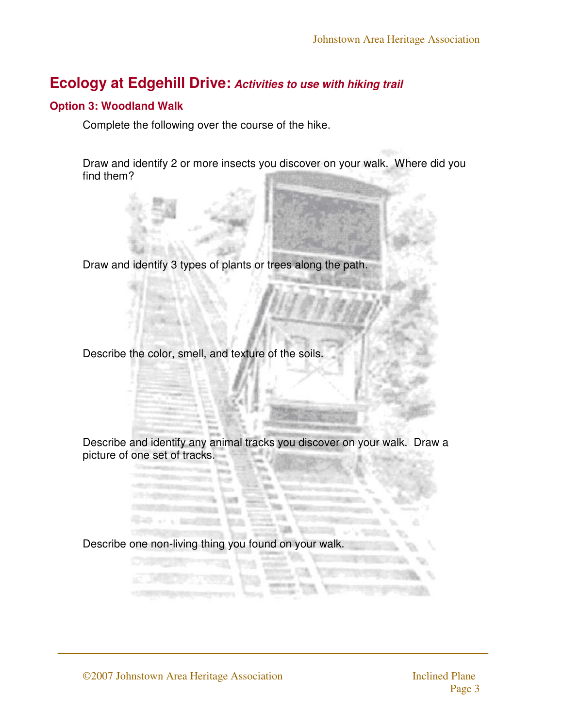### **Option 3: Woodland Walk**

Complete the following over the course of the hike.

Draw and identify 2 or more insects you discover on your walk. Where did you find them?

Draw and identify 3 types of plants or trees along the path.

Describe the color, smell, and texture of the soils.

Describe and identify any animal tracks you discover on your walk. Draw a picture of one set of tracks.

Describe one non-living thing you found on your walk.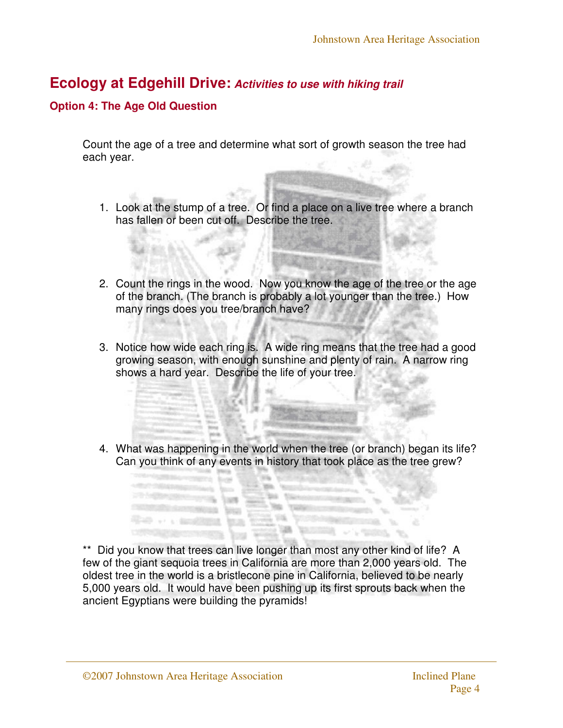### **Option 4: The Age Old Question**

Count the age of a tree and determine what sort of growth season the tree had each year.

- 1. Look at the stump of a tree. Or find a place on a live tree where a branch has fallen or been cut off. Describe the tree.
- 2. Count the rings in the wood. Now you know the age of the tree or the age of the branch. (The branch is probably a lot younger than the tree.) How many rings does you tree/branch have?
- 3. Notice how wide each ring is. A wide ring means that the tree had a good growing season, with enough sunshine and plenty of rain. A narrow ring shows a hard year. Describe the life of your tree.
- 4. What was happening in the world when the tree (or branch) began its life? Can you think of any events in history that took place as the tree grew?

\*\* Did you know that trees can live longer than most any other kind of life? A few of the giant sequoia trees in California are more than 2,000 years old. The oldest tree in the world is a bristlecone pine in California, believed to be nearly 5,000 years old. It would have been pushing up its first sprouts back when the ancient Egyptians were building the pyramids!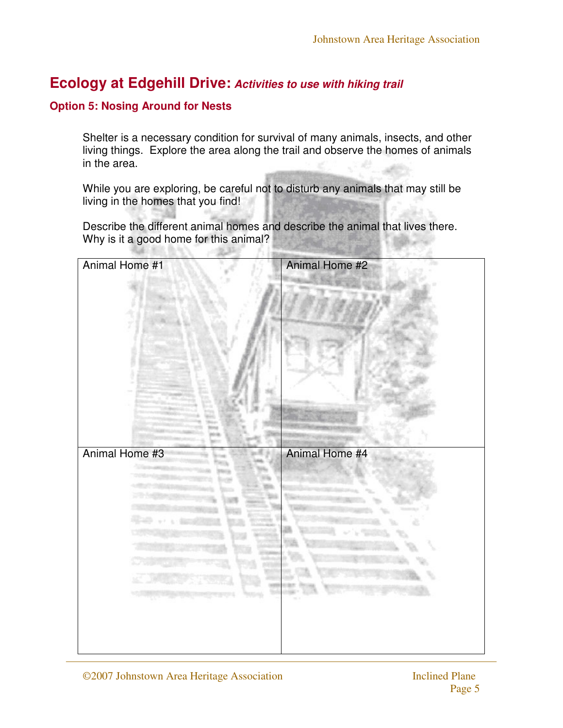### **Option 5: Nosing Around for Nests**

Shelter is a necessary condition for survival of many animals, insects, and other living things. Explore the area along the trail and observe the homes of animals in the area.

While you are exploring, be careful not to disturb any animals that may still be living in the homes that you find!

Describe the different animal homes and describe the animal that lives there. Why is it a good home for this animal?